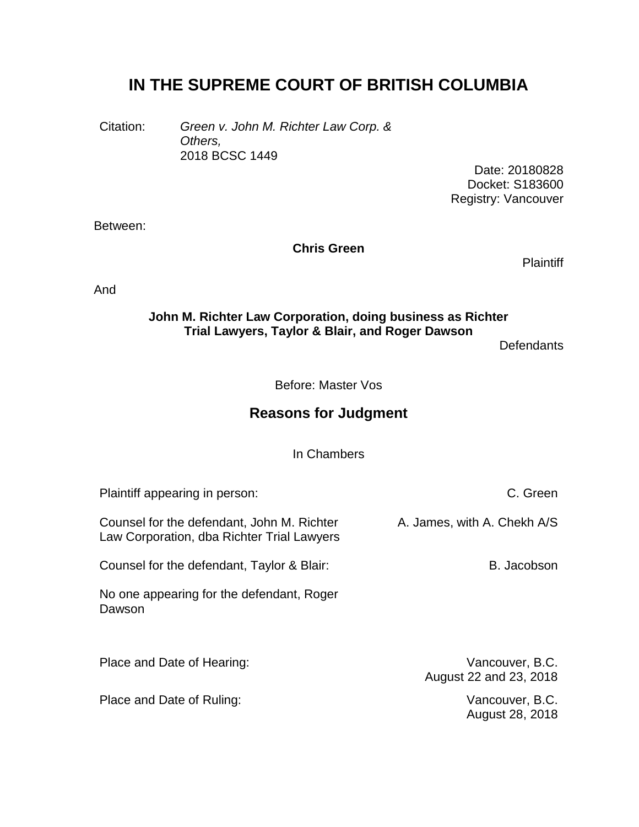# **IN THE SUPREME COURT OF BRITISH COLUMBIA**

Citation: *Green v. John M. Richter Law Corp. & Others,* 2018 BCSC 1449

Date: 20180828 Docket: S183600 Registry: Vancouver

Between:

**Chris Green**

**Plaintiff** 

And

#### **John M. Richter Law Corporation, doing business as Richter Trial Lawyers, Taylor & Blair, and Roger Dawson**

**Defendants** 

Before: Master Vos

## **Reasons for Judgment**

In Chambers

Plaintiff appearing in person: Counsel for the defendant, John M. Richter Law Corporation, dba Richter Trial Lawyers Counsel for the defendant, Taylor & Blair: No one appearing for the defendant, Roger Dawson C. Green A. James, with A. Chekh A/S B. Jacobson Place and Date of Hearing: Vancouver, B.C.

Place and Date of Ruling: The Contract of Australian Contract of Ruling: Vancouver, B.C.

August 22 and 23, 2018

August 28, 2018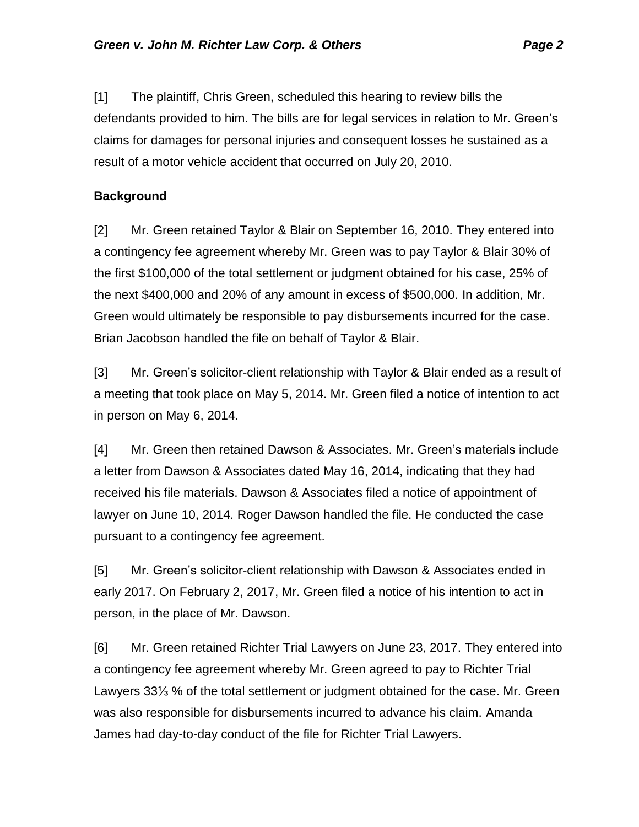[1] The plaintiff, Chris Green, scheduled this hearing to review bills the defendants provided to him. The bills are for legal services in relation to Mr. Green's claims for damages for personal injuries and consequent losses he sustained as a result of a motor vehicle accident that occurred on July 20, 2010.

#### **Background**

[2] Mr. Green retained Taylor & Blair on September 16, 2010. They entered into a contingency fee agreement whereby Mr. Green was to pay Taylor & Blair 30% of the first \$100,000 of the total settlement or judgment obtained for his case, 25% of the next \$400,000 and 20% of any amount in excess of \$500,000. In addition, Mr. Green would ultimately be responsible to pay disbursements incurred for the case. Brian Jacobson handled the file on behalf of Taylor & Blair.

[3] Mr. Green's solicitor-client relationship with Taylor & Blair ended as a result of a meeting that took place on May 5, 2014. Mr. Green filed a notice of intention to act in person on May 6, 2014.

[4] Mr. Green then retained Dawson & Associates. Mr. Green's materials include a letter from Dawson & Associates dated May 16, 2014, indicating that they had received his file materials. Dawson & Associates filed a notice of appointment of lawyer on June 10, 2014. Roger Dawson handled the file. He conducted the case pursuant to a contingency fee agreement.

[5] Mr. Green's solicitor-client relationship with Dawson & Associates ended in early 2017. On February 2, 2017, Mr. Green filed a notice of his intention to act in person, in the place of Mr. Dawson.

[6] Mr. Green retained Richter Trial Lawyers on June 23, 2017. They entered into a contingency fee agreement whereby Mr. Green agreed to pay to Richter Trial Lawyers 33⅓ % of the total settlement or judgment obtained for the case. Mr. Green was also responsible for disbursements incurred to advance his claim. Amanda James had day-to-day conduct of the file for Richter Trial Lawyers.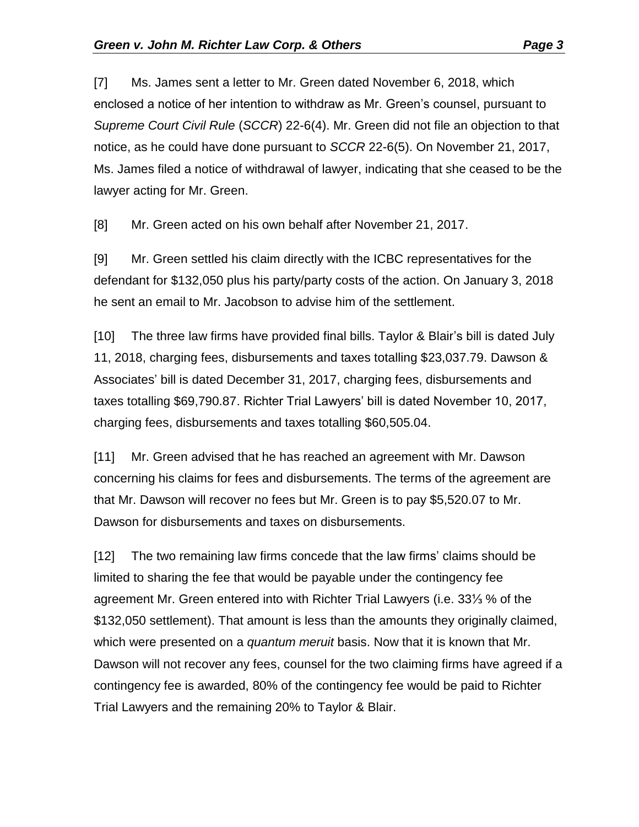[7] Ms. James sent a letter to Mr. Green dated November 6, 2018, which enclosed a notice of her intention to withdraw as Mr. Green's counsel, pursuant to *Supreme Court Civil Rule* (*SCCR*) 22-6(4). Mr. Green did not file an objection to that notice, as he could have done pursuant to *SCCR* 22-6(5). On November 21, 2017, Ms. James filed a notice of withdrawal of lawyer, indicating that she ceased to be the lawyer acting for Mr. Green.

[8] Mr. Green acted on his own behalf after November 21, 2017.

[9] Mr. Green settled his claim directly with the ICBC representatives for the defendant for \$132,050 plus his party/party costs of the action. On January 3, 2018 he sent an email to Mr. Jacobson to advise him of the settlement.

[10] The three law firms have provided final bills. Taylor & Blair's bill is dated July 11, 2018, charging fees, disbursements and taxes totalling \$23,037.79. Dawson & Associates' bill is dated December 31, 2017, charging fees, disbursements and taxes totalling \$69,790.87. Richter Trial Lawyers' bill is dated November 10, 2017, charging fees, disbursements and taxes totalling \$60,505.04.

[11] Mr. Green advised that he has reached an agreement with Mr. Dawson concerning his claims for fees and disbursements. The terms of the agreement are that Mr. Dawson will recover no fees but Mr. Green is to pay \$5,520.07 to Mr. Dawson for disbursements and taxes on disbursements.

[12] The two remaining law firms concede that the law firms' claims should be limited to sharing the fee that would be payable under the contingency fee agreement Mr. Green entered into with Richter Trial Lawyers (i.e. 33⅓ % of the \$132,050 settlement). That amount is less than the amounts they originally claimed, which were presented on a *quantum meruit* basis. Now that it is known that Mr. Dawson will not recover any fees, counsel for the two claiming firms have agreed if a contingency fee is awarded, 80% of the contingency fee would be paid to Richter Trial Lawyers and the remaining 20% to Taylor & Blair.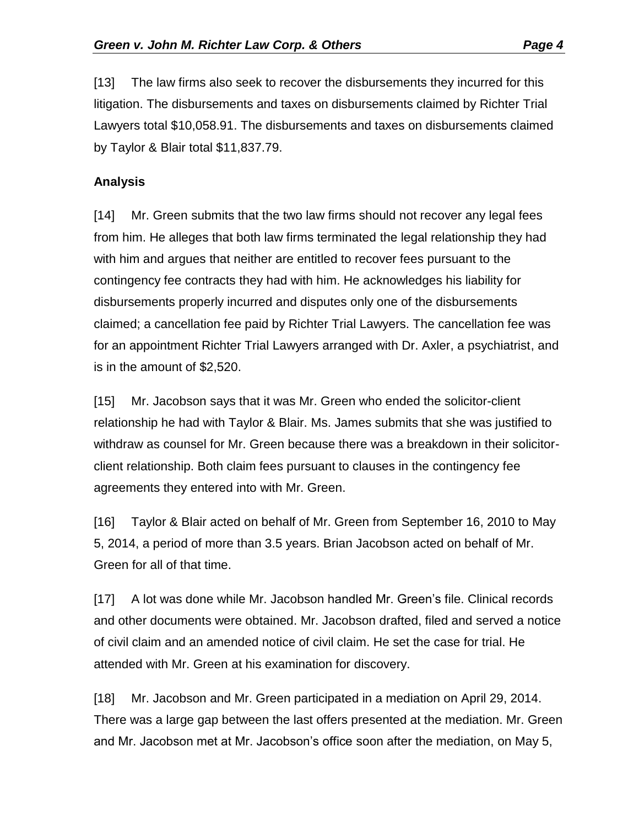[13] The law firms also seek to recover the disbursements they incurred for this litigation. The disbursements and taxes on disbursements claimed by Richter Trial Lawyers total \$10,058.91. The disbursements and taxes on disbursements claimed by Taylor & Blair total \$11,837.79.

### **Analysis**

[14] Mr. Green submits that the two law firms should not recover any legal fees from him. He alleges that both law firms terminated the legal relationship they had with him and argues that neither are entitled to recover fees pursuant to the contingency fee contracts they had with him. He acknowledges his liability for disbursements properly incurred and disputes only one of the disbursements claimed; a cancellation fee paid by Richter Trial Lawyers. The cancellation fee was for an appointment Richter Trial Lawyers arranged with Dr. Axler, a psychiatrist, and is in the amount of \$2,520.

[15] Mr. Jacobson says that it was Mr. Green who ended the solicitor-client relationship he had with Taylor & Blair. Ms. James submits that she was justified to withdraw as counsel for Mr. Green because there was a breakdown in their solicitorclient relationship. Both claim fees pursuant to clauses in the contingency fee agreements they entered into with Mr. Green.

[16] Taylor & Blair acted on behalf of Mr. Green from September 16, 2010 to May 5, 2014, a period of more than 3.5 years. Brian Jacobson acted on behalf of Mr. Green for all of that time.

[17] A lot was done while Mr. Jacobson handled Mr. Green's file. Clinical records and other documents were obtained. Mr. Jacobson drafted, filed and served a notice of civil claim and an amended notice of civil claim. He set the case for trial. He attended with Mr. Green at his examination for discovery.

[18] Mr. Jacobson and Mr. Green participated in a mediation on April 29, 2014. There was a large gap between the last offers presented at the mediation. Mr. Green and Mr. Jacobson met at Mr. Jacobson's office soon after the mediation, on May 5,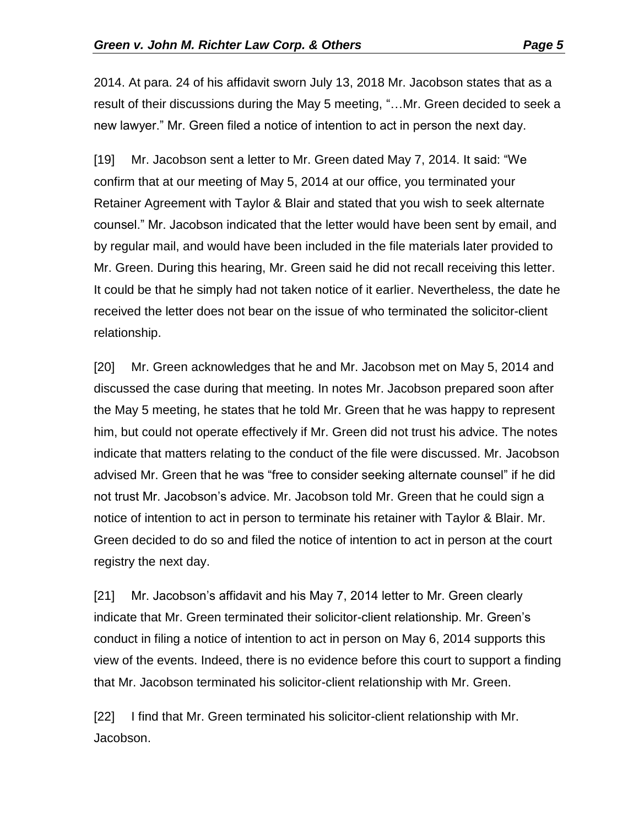2014. At para. 24 of his affidavit sworn July 13, 2018 Mr. Jacobson states that as a result of their discussions during the May 5 meeting, "…Mr. Green decided to seek a new lawyer." Mr. Green filed a notice of intention to act in person the next day.

[19] Mr. Jacobson sent a letter to Mr. Green dated May 7, 2014. It said: "We confirm that at our meeting of May 5, 2014 at our office, you terminated your Retainer Agreement with Taylor & Blair and stated that you wish to seek alternate counsel." Mr. Jacobson indicated that the letter would have been sent by email, and by regular mail, and would have been included in the file materials later provided to Mr. Green. During this hearing, Mr. Green said he did not recall receiving this letter. It could be that he simply had not taken notice of it earlier. Nevertheless, the date he received the letter does not bear on the issue of who terminated the solicitor-client relationship.

[20] Mr. Green acknowledges that he and Mr. Jacobson met on May 5, 2014 and discussed the case during that meeting. In notes Mr. Jacobson prepared soon after the May 5 meeting, he states that he told Mr. Green that he was happy to represent him, but could not operate effectively if Mr. Green did not trust his advice. The notes indicate that matters relating to the conduct of the file were discussed. Mr. Jacobson advised Mr. Green that he was "free to consider seeking alternate counsel" if he did not trust Mr. Jacobson's advice. Mr. Jacobson told Mr. Green that he could sign a notice of intention to act in person to terminate his retainer with Taylor & Blair. Mr. Green decided to do so and filed the notice of intention to act in person at the court registry the next day.

[21] Mr. Jacobson's affidavit and his May 7, 2014 letter to Mr. Green clearly indicate that Mr. Green terminated their solicitor-client relationship. Mr. Green's conduct in filing a notice of intention to act in person on May 6, 2014 supports this view of the events. Indeed, there is no evidence before this court to support a finding that Mr. Jacobson terminated his solicitor-client relationship with Mr. Green.

[22] I find that Mr. Green terminated his solicitor-client relationship with Mr. Jacobson.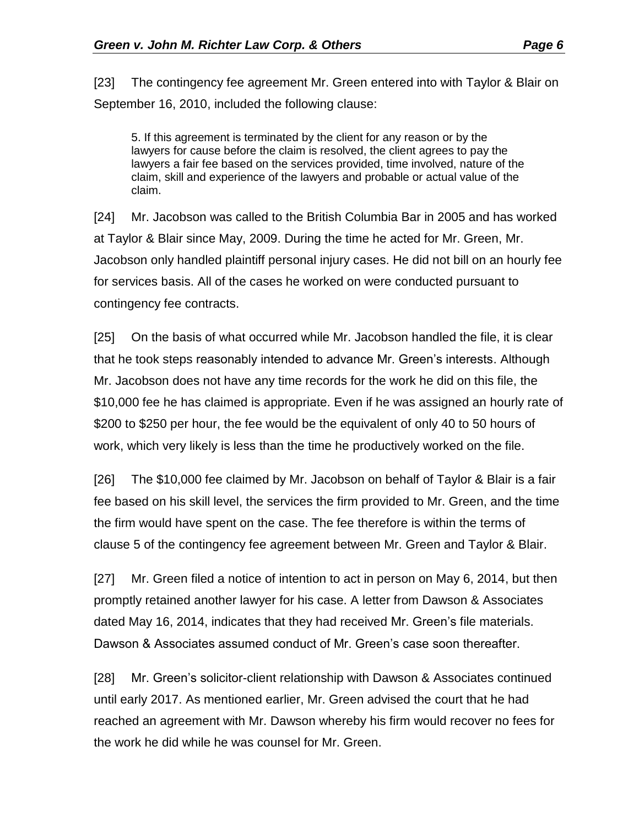[23] The contingency fee agreement Mr. Green entered into with Taylor & Blair on September 16, 2010, included the following clause:

5. If this agreement is terminated by the client for any reason or by the lawyers for cause before the claim is resolved, the client agrees to pay the lawyers a fair fee based on the services provided, time involved, nature of the claim, skill and experience of the lawyers and probable or actual value of the claim.

[24] Mr. Jacobson was called to the British Columbia Bar in 2005 and has worked at Taylor & Blair since May, 2009. During the time he acted for Mr. Green, Mr. Jacobson only handled plaintiff personal injury cases. He did not bill on an hourly fee for services basis. All of the cases he worked on were conducted pursuant to contingency fee contracts.

[25] On the basis of what occurred while Mr. Jacobson handled the file, it is clear that he took steps reasonably intended to advance Mr. Green's interests. Although Mr. Jacobson does not have any time records for the work he did on this file, the \$10,000 fee he has claimed is appropriate. Even if he was assigned an hourly rate of \$200 to \$250 per hour, the fee would be the equivalent of only 40 to 50 hours of work, which very likely is less than the time he productively worked on the file.

[26] The \$10,000 fee claimed by Mr. Jacobson on behalf of Taylor & Blair is a fair fee based on his skill level, the services the firm provided to Mr. Green, and the time the firm would have spent on the case. The fee therefore is within the terms of clause 5 of the contingency fee agreement between Mr. Green and Taylor & Blair.

[27] Mr. Green filed a notice of intention to act in person on May 6, 2014, but then promptly retained another lawyer for his case. A letter from Dawson & Associates dated May 16, 2014, indicates that they had received Mr. Green's file materials. Dawson & Associates assumed conduct of Mr. Green's case soon thereafter.

[28] Mr. Green's solicitor-client relationship with Dawson & Associates continued until early 2017. As mentioned earlier, Mr. Green advised the court that he had reached an agreement with Mr. Dawson whereby his firm would recover no fees for the work he did while he was counsel for Mr. Green.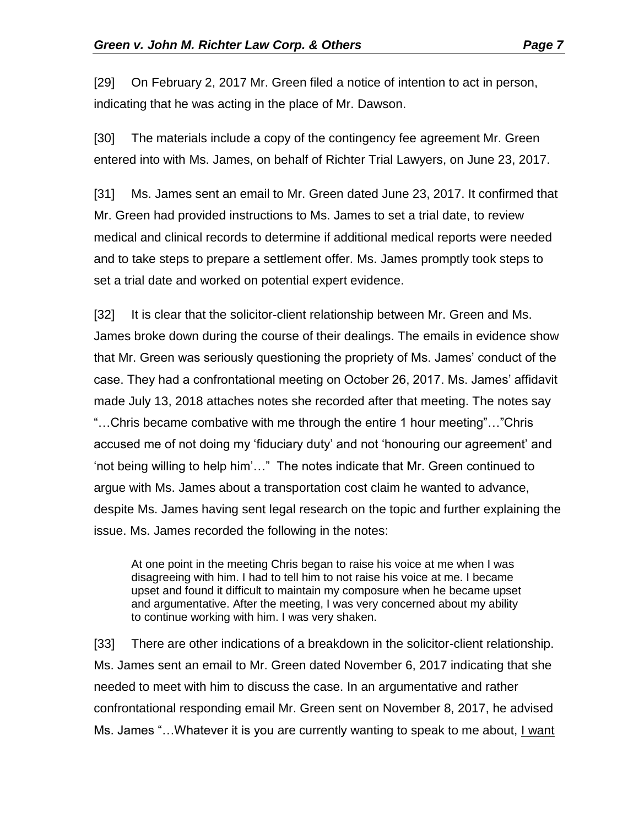[29] On February 2, 2017 Mr. Green filed a notice of intention to act in person, indicating that he was acting in the place of Mr. Dawson.

[30] The materials include a copy of the contingency fee agreement Mr. Green entered into with Ms. James, on behalf of Richter Trial Lawyers, on June 23, 2017.

[31] Ms. James sent an email to Mr. Green dated June 23, 2017. It confirmed that Mr. Green had provided instructions to Ms. James to set a trial date, to review medical and clinical records to determine if additional medical reports were needed and to take steps to prepare a settlement offer. Ms. James promptly took steps to set a trial date and worked on potential expert evidence.

[32] It is clear that the solicitor-client relationship between Mr. Green and Ms. James broke down during the course of their dealings. The emails in evidence show that Mr. Green was seriously questioning the propriety of Ms. James' conduct of the case. They had a confrontational meeting on October 26, 2017. Ms. James' affidavit made July 13, 2018 attaches notes she recorded after that meeting. The notes say "…Chris became combative with me through the entire 1 hour meeting"…"Chris accused me of not doing my 'fiduciary duty' and not 'honouring our agreement' and 'not being willing to help him'…" The notes indicate that Mr. Green continued to argue with Ms. James about a transportation cost claim he wanted to advance, despite Ms. James having sent legal research on the topic and further explaining the issue. Ms. James recorded the following in the notes:

At one point in the meeting Chris began to raise his voice at me when I was disagreeing with him. I had to tell him to not raise his voice at me. I became upset and found it difficult to maintain my composure when he became upset and argumentative. After the meeting, I was very concerned about my ability to continue working with him. I was very shaken.

[33] There are other indications of a breakdown in the solicitor-client relationship. Ms. James sent an email to Mr. Green dated November 6, 2017 indicating that she needed to meet with him to discuss the case. In an argumentative and rather confrontational responding email Mr. Green sent on November 8, 2017, he advised Ms. James "…Whatever it is you are currently wanting to speak to me about, I want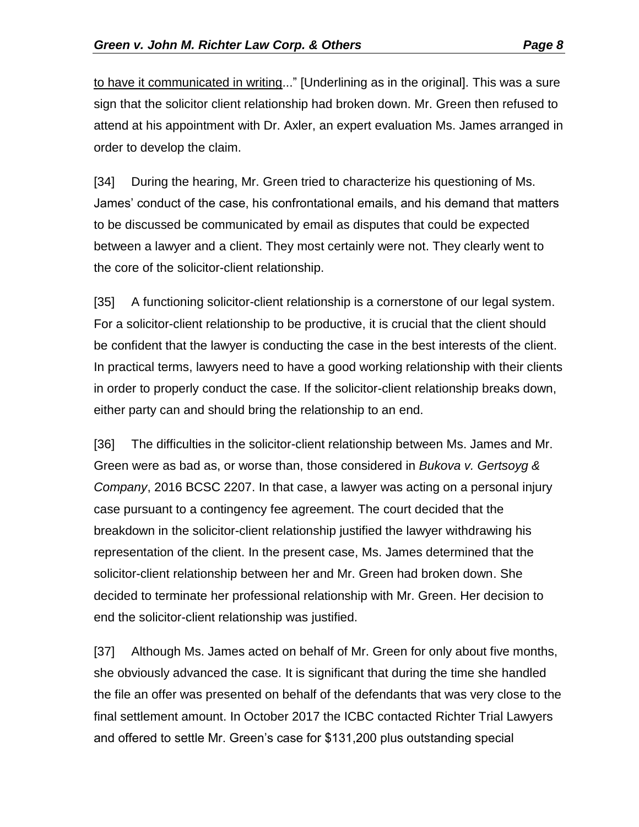to have it communicated in writing..." [Underlining as in the original]. This was a sure sign that the solicitor client relationship had broken down. Mr. Green then refused to attend at his appointment with Dr. Axler, an expert evaluation Ms. James arranged in order to develop the claim.

[34] During the hearing, Mr. Green tried to characterize his questioning of Ms. James' conduct of the case, his confrontational emails, and his demand that matters to be discussed be communicated by email as disputes that could be expected between a lawyer and a client. They most certainly were not. They clearly went to the core of the solicitor-client relationship.

[35] A functioning solicitor-client relationship is a cornerstone of our legal system. For a solicitor-client relationship to be productive, it is crucial that the client should be confident that the lawyer is conducting the case in the best interests of the client. In practical terms, lawyers need to have a good working relationship with their clients in order to properly conduct the case. If the solicitor-client relationship breaks down, either party can and should bring the relationship to an end.

[36] The difficulties in the solicitor-client relationship between Ms. James and Mr. Green were as bad as, or worse than, those considered in *Bukova v. Gertsoyg & Company*, 2016 BCSC 2207. In that case, a lawyer was acting on a personal injury case pursuant to a contingency fee agreement. The court decided that the breakdown in the solicitor-client relationship justified the lawyer withdrawing his representation of the client. In the present case, Ms. James determined that the solicitor-client relationship between her and Mr. Green had broken down. She decided to terminate her professional relationship with Mr. Green. Her decision to end the solicitor-client relationship was justified.

[37] Although Ms. James acted on behalf of Mr. Green for only about five months, she obviously advanced the case. It is significant that during the time she handled the file an offer was presented on behalf of the defendants that was very close to the final settlement amount. In October 2017 the ICBC contacted Richter Trial Lawyers and offered to settle Mr. Green's case for \$131,200 plus outstanding special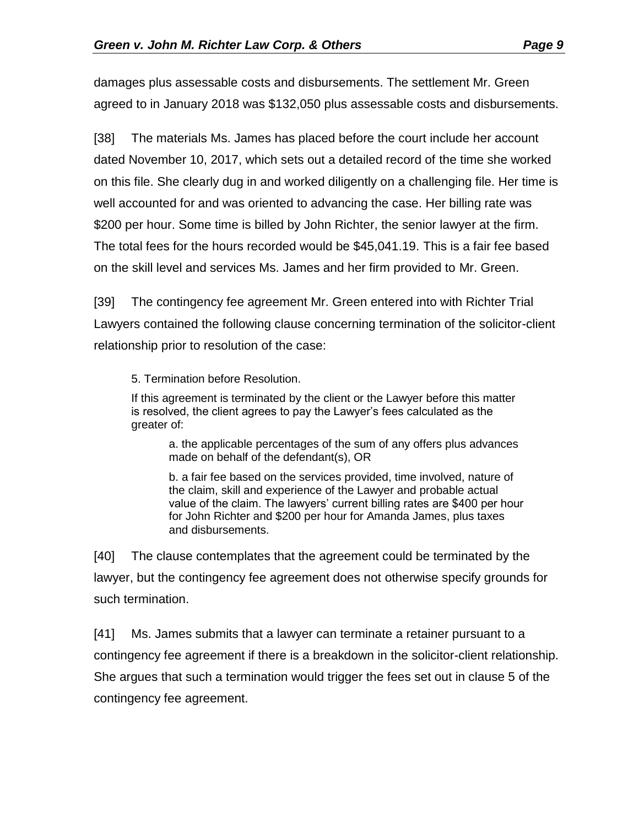damages plus assessable costs and disbursements. The settlement Mr. Green agreed to in January 2018 was \$132,050 plus assessable costs and disbursements.

[38] The materials Ms. James has placed before the court include her account dated November 10, 2017, which sets out a detailed record of the time she worked on this file. She clearly dug in and worked diligently on a challenging file. Her time is well accounted for and was oriented to advancing the case. Her billing rate was \$200 per hour. Some time is billed by John Richter, the senior lawyer at the firm. The total fees for the hours recorded would be \$45,041.19. This is a fair fee based on the skill level and services Ms. James and her firm provided to Mr. Green.

[39] The contingency fee agreement Mr. Green entered into with Richter Trial Lawyers contained the following clause concerning termination of the solicitor-client relationship prior to resolution of the case:

5. Termination before Resolution.

If this agreement is terminated by the client or the Lawyer before this matter is resolved, the client agrees to pay the Lawyer's fees calculated as the greater of:

a. the applicable percentages of the sum of any offers plus advances made on behalf of the defendant(s), OR

b. a fair fee based on the services provided, time involved, nature of the claim, skill and experience of the Lawyer and probable actual value of the claim. The lawyers' current billing rates are \$400 per hour for John Richter and \$200 per hour for Amanda James, plus taxes and disbursements.

[40] The clause contemplates that the agreement could be terminated by the lawyer, but the contingency fee agreement does not otherwise specify grounds for such termination.

[41] Ms. James submits that a lawyer can terminate a retainer pursuant to a contingency fee agreement if there is a breakdown in the solicitor-client relationship. She argues that such a termination would trigger the fees set out in clause 5 of the contingency fee agreement.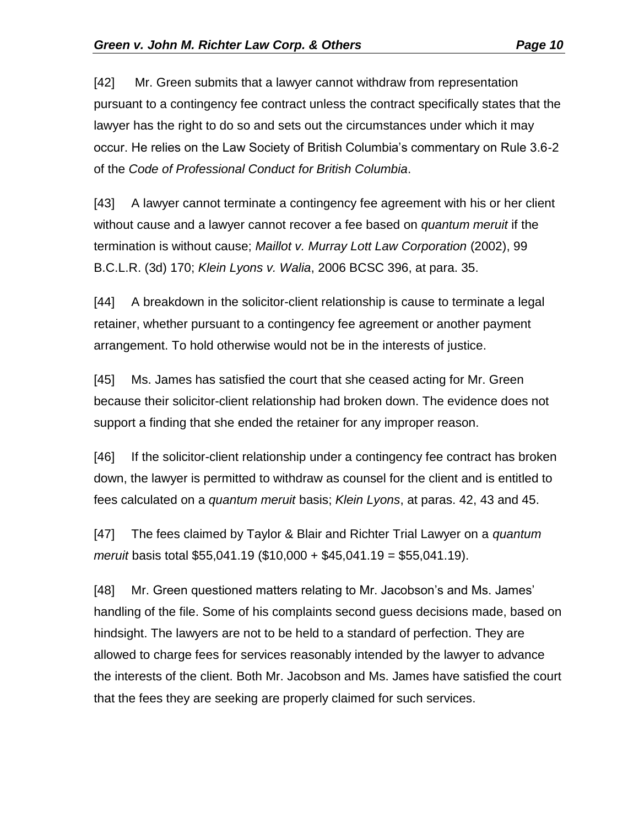[42] Mr. Green submits that a lawyer cannot withdraw from representation pursuant to a contingency fee contract unless the contract specifically states that the lawyer has the right to do so and sets out the circumstances under which it may occur. He relies on the Law Society of British Columbia's commentary on Rule 3.6-2 of the *Code of Professional Conduct for British Columbia*.

[43] A lawyer cannot terminate a contingency fee agreement with his or her client without cause and a lawyer cannot recover a fee based on *quantum meruit* if the termination is without cause; *Maillot v. Murray Lott Law Corporation* (2002), 99 B.C.L.R. (3d) 170; *Klein Lyons v. Walia*, 2006 BCSC 396, at para. 35.

[44] A breakdown in the solicitor-client relationship is cause to terminate a legal retainer, whether pursuant to a contingency fee agreement or another payment arrangement. To hold otherwise would not be in the interests of justice.

[45] Ms. James has satisfied the court that she ceased acting for Mr. Green because their solicitor-client relationship had broken down. The evidence does not support a finding that she ended the retainer for any improper reason.

[46] If the solicitor-client relationship under a contingency fee contract has broken down, the lawyer is permitted to withdraw as counsel for the client and is entitled to fees calculated on a *quantum meruit* basis; *Klein Lyons*, at paras. 42, 43 and 45.

[47] The fees claimed by Taylor & Blair and Richter Trial Lawyer on a *quantum meruit* basis total \$55,041.19 (\$10,000 + \$45,041.19 = \$55,041.19).

[48] Mr. Green questioned matters relating to Mr. Jacobson's and Ms. James' handling of the file. Some of his complaints second guess decisions made, based on hindsight. The lawyers are not to be held to a standard of perfection. They are allowed to charge fees for services reasonably intended by the lawyer to advance the interests of the client. Both Mr. Jacobson and Ms. James have satisfied the court that the fees they are seeking are properly claimed for such services.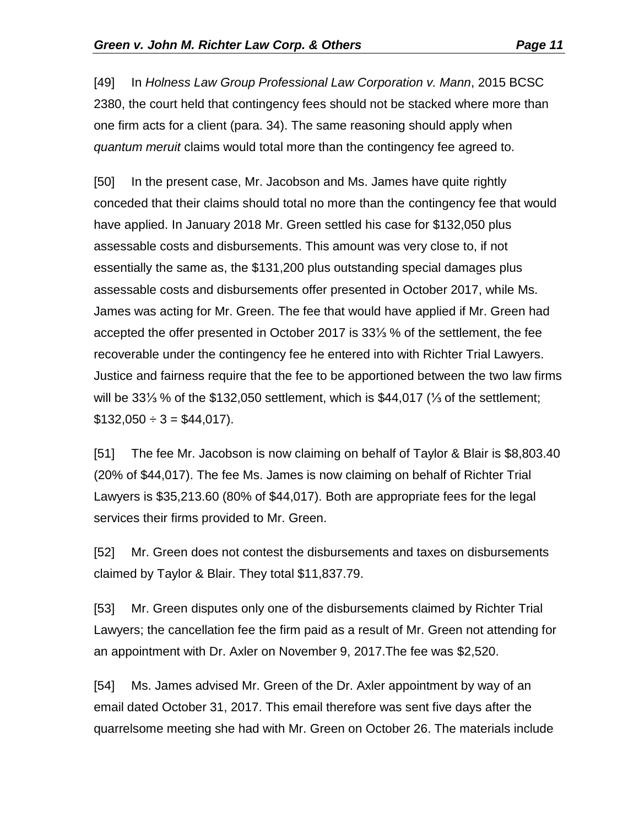[49] In *Holness Law Group Professional Law Corporation v. Mann*, 2015 BCSC 2380, the court held that contingency fees should not be stacked where more than one firm acts for a client (para. 34). The same reasoning should apply when *quantum meruit* claims would total more than the contingency fee agreed to.

[50] In the present case, Mr. Jacobson and Ms. James have quite rightly conceded that their claims should total no more than the contingency fee that would have applied. In January 2018 Mr. Green settled his case for \$132,050 plus assessable costs and disbursements. This amount was very close to, if not essentially the same as, the \$131,200 plus outstanding special damages plus assessable costs and disbursements offer presented in October 2017, while Ms. James was acting for Mr. Green. The fee that would have applied if Mr. Green had accepted the offer presented in October 2017 is 33⅓ % of the settlement, the fee recoverable under the contingency fee he entered into with Richter Trial Lawyers. Justice and fairness require that the fee to be apportioned between the two law firms will be 33⅓ % of the \$132,050 settlement, which is \$44,017 (⅓ of the settlement;  $$132,050 \div 3 = $44,017$ ).

[51] The fee Mr. Jacobson is now claiming on behalf of Taylor & Blair is \$8,803.40 (20% of \$44,017). The fee Ms. James is now claiming on behalf of Richter Trial Lawyers is \$35,213.60 (80% of \$44,017). Both are appropriate fees for the legal services their firms provided to Mr. Green.

[52] Mr. Green does not contest the disbursements and taxes on disbursements claimed by Taylor & Blair. They total \$11,837.79.

[53] Mr. Green disputes only one of the disbursements claimed by Richter Trial Lawyers; the cancellation fee the firm paid as a result of Mr. Green not attending for an appointment with Dr. Axler on November 9, 2017.The fee was \$2,520.

[54] Ms. James advised Mr. Green of the Dr. Axler appointment by way of an email dated October 31, 2017. This email therefore was sent five days after the quarrelsome meeting she had with Mr. Green on October 26. The materials include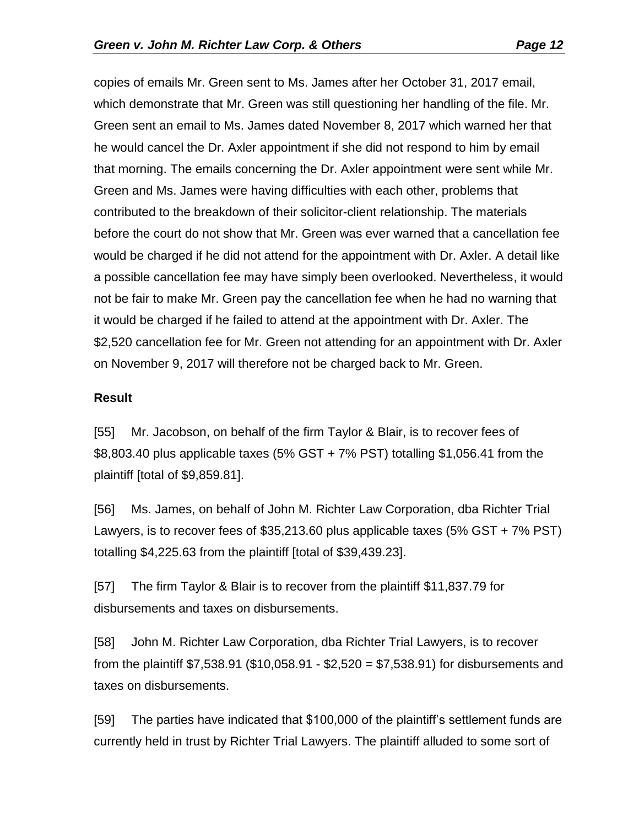copies of emails Mr. Green sent to Ms. James after her October 31, 2017 email, which demonstrate that Mr. Green was still questioning her handling of the file. Mr. Green sent an email to Ms. James dated November 8, 2017 which warned her that he would cancel the Dr. Axler appointment if she did not respond to him by email that morning. The emails concerning the Dr. Axler appointment were sent while Mr. Green and Ms. James were having difficulties with each other, problems that contributed to the breakdown of their solicitor-client relationship. The materials before the court do not show that Mr. Green was ever warned that a cancellation fee would be charged if he did not attend for the appointment with Dr. Axler. A detail like a possible cancellation fee may have simply been overlooked. Nevertheless, it would not be fair to make Mr. Green pay the cancellation fee when he had no warning that it would be charged if he failed to attend at the appointment with Dr. Axler. The \$2,520 cancellation fee for Mr. Green not attending for an appointment with Dr. Axler on November 9, 2017 will therefore not be charged back to Mr. Green.

#### **Result**

[55] Mr. Jacobson, on behalf of the firm Taylor & Blair, is to recover fees of \$8,803.40 plus applicable taxes (5% GST + 7% PST) totalling \$1,056.41 from the plaintiff [total of \$9,859.81].

[56] Ms. James, on behalf of John M. Richter Law Corporation, dba Richter Trial Lawyers, is to recover fees of \$35,213.60 plus applicable taxes (5% GST + 7% PST) totalling \$4,225.63 from the plaintiff [total of \$39,439.23].

[57] The firm Taylor & Blair is to recover from the plaintiff \$11,837.79 for disbursements and taxes on disbursements.

[58] John M. Richter Law Corporation, dba Richter Trial Lawyers, is to recover from the plaintiff \$7,538.91 (\$10,058.91 - \$2,520 = \$7,538.91) for disbursements and taxes on disbursements.

[59] The parties have indicated that \$100,000 of the plaintiff's settlement funds are currently held in trust by Richter Trial Lawyers. The plaintiff alluded to some sort of